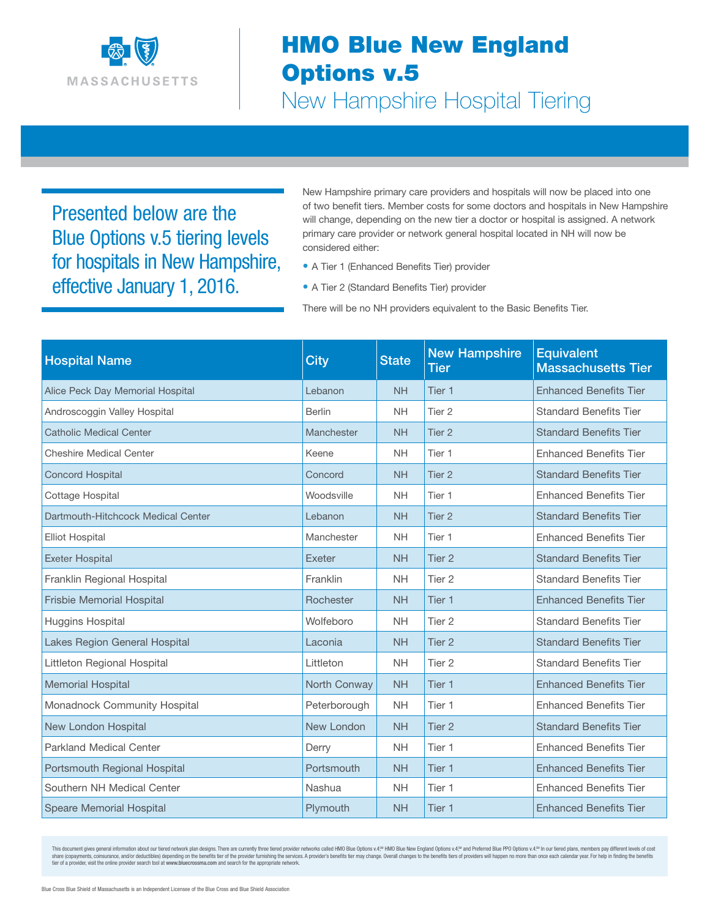

## HMO Blue New England Options v.5

New Hampshire Hospital Tiering

Presented below are the Blue Options v.5 tiering levels for hospitals in New Hampshire, effective January 1, 2016.

New Hampshire primary care providers and hospitals will now be placed into one of two benefit tiers. Member costs for some doctors and hospitals in New Hampshire will change, depending on the new tier a doctor or hospital is assigned. A network primary care provider or network general hospital located in NH will now be considered either:

- A Tier 1 (Enhanced Benefits Tier) provider
- A Tier 2 (Standard Benefits Tier) provider

There will be no NH providers equivalent to the Basic Benefits Tier.

| <b>Hospital Name</b>               | <b>City</b>   | <b>State</b> | <b>New Hampshire</b><br><b>Tier</b> | <b>Equivalent</b><br><b>Massachusetts Tier</b> |
|------------------------------------|---------------|--------------|-------------------------------------|------------------------------------------------|
| Alice Peck Day Memorial Hospital   | Lebanon       | <b>NH</b>    | Tier 1                              | <b>Enhanced Benefits Tier</b>                  |
| Androscoggin Valley Hospital       | <b>Berlin</b> | <b>NH</b>    | Tier <sub>2</sub>                   | <b>Standard Benefits Tier</b>                  |
| <b>Catholic Medical Center</b>     | Manchester    | <b>NH</b>    | Tier <sub>2</sub>                   | <b>Standard Benefits Tier</b>                  |
| <b>Cheshire Medical Center</b>     | Keene         | <b>NH</b>    | Tier 1                              | <b>Enhanced Benefits Tier</b>                  |
| <b>Concord Hospital</b>            | Concord       | <b>NH</b>    | Tier <sub>2</sub>                   | <b>Standard Benefits Tier</b>                  |
| Cottage Hospital                   | Woodsville    | <b>NH</b>    | Tier 1                              | <b>Enhanced Benefits Tier</b>                  |
| Dartmouth-Hitchcock Medical Center | Lebanon       | <b>NH</b>    | Tier <sub>2</sub>                   | <b>Standard Benefits Tier</b>                  |
| <b>Elliot Hospital</b>             | Manchester    | <b>NH</b>    | Tier 1                              | <b>Enhanced Benefits Tier</b>                  |
| <b>Exeter Hospital</b>             | Exeter        | <b>NH</b>    | Tier <sub>2</sub>                   | <b>Standard Benefits Tier</b>                  |
| Franklin Regional Hospital         | Franklin      | <b>NH</b>    | Tier <sub>2</sub>                   | <b>Standard Benefits Tier</b>                  |
| <b>Frisbie Memorial Hospital</b>   | Rochester     | <b>NH</b>    | Tier 1                              | <b>Enhanced Benefits Tier</b>                  |
| Huggins Hospital                   | Wolfeboro     | <b>NH</b>    | Tier <sub>2</sub>                   | <b>Standard Benefits Tier</b>                  |
| Lakes Region General Hospital      | Laconia       | <b>NH</b>    | Tier 2                              | <b>Standard Benefits Tier</b>                  |
| Littleton Regional Hospital        | Littleton     | <b>NH</b>    | Tier <sub>2</sub>                   | <b>Standard Benefits Tier</b>                  |
| <b>Memorial Hospital</b>           | North Conway  | <b>NH</b>    | Tier 1                              | <b>Enhanced Benefits Tier</b>                  |
| Monadnock Community Hospital       | Peterborough  | <b>NH</b>    | Tier 1                              | <b>Enhanced Benefits Tier</b>                  |
| New London Hospital                | New London    | <b>NH</b>    | Tier <sub>2</sub>                   | <b>Standard Benefits Tier</b>                  |
| <b>Parkland Medical Center</b>     | Derry         | <b>NH</b>    | Tier 1                              | <b>Enhanced Benefits Tier</b>                  |
| Portsmouth Regional Hospital       | Portsmouth    | <b>NH</b>    | Tier 1                              | <b>Enhanced Benefits Tier</b>                  |
| Southern NH Medical Center         | Nashua        | <b>NH</b>    | Tier 1                              | <b>Enhanced Benefits Tier</b>                  |
| <b>Speare Memorial Hospital</b>    | Plymouth      | <b>NH</b>    | Tier 1                              | <b>Enhanced Benefits Tier</b>                  |

This document gives general information about our tiered network plan designs. There are currently three tiered provider networks called HMO Blue Options v4™ HO Blue New Fingland Options v4™ and Preferred Blue PPO Options